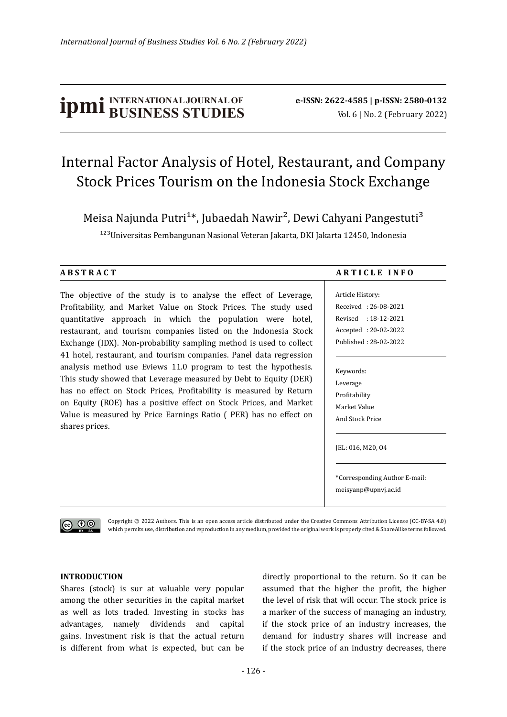# **ipmi** BUSINESS STUDIES **b** e-ISSN: 2622-4585 | p-ISSN: 2580-0132

## Internal Factor Analysis of Hotel, Restaurant, and Company Stock Prices Tourism on the Indonesia Stock Exchange

Meisa Najunda Putri<sup>1\*</sup>, Jubaedah Nawir<sup>2</sup>, Dewi Cahyani Pangestuti<sup>3</sup>

<sup>123</sup>Universitas Pembangunan Nasional Veteran Jakarta, DKI Jakarta 12450, Indonesia

The objective of the study is to analyse the effect of Leverage, Profitability, and Market Value on Stock Prices. The study used quantitative approach in which the population were hotel, restaurant, and tourism companies listed on the Indonesia Stock Exchange (IDX). Non-probability sampling method is used to collect 41 hotel, restaurant, and tourism companies. Panel data regression analysis method use Eviews 11.0 program to test the hypothesis. This study showed that Leverage measured by Debt to Equity (DER) has no effect on Stock Prices, Profitability is measured by Return on Equity (ROE) has a positive effect on Stock Prices, and Market Value is measured by Price Earnings Ratio ( PER) has no effect on shares prices.

#### **A B S T R A C T A R T I C L E I N F O**

Article History: Received : 26-08-2021 Revised : 18-12-2021 Accepted : 20-02-2022 Published : 28-02-2022

#### Keywords: Leverage Profitability Market Value And Stock Price

JEL: 016, M20, O4

\*Corresponding Author E-mail: meisyanp@upnvj.ac.id

ெ 0

Copyright © 2022 Authors. This is an open access article distributed under the Creative Commons Attribution License (CC-BY-SA 4.0) which permits use, distribution and reproduction in any medium, provided the original work is properly cited & ShareAlike terms followed.

#### **INTRODUCTION**

Shares (stock) is sur at valuable very popular among the other securities in the capital market as well as lots traded. Investing in stocks has advantages, namely dividends and capital gains. Investment risk is that the actual return is different from what is expected, but can be

directly proportional to the return. So it can be assumed that the higher the pro�it, the higher the level of risk that will occur. The stock price is a marker of the success of managing an industry, if the stock price of an industry increases, the demand for industry shares will increase and if the stock price of an industry decreases, there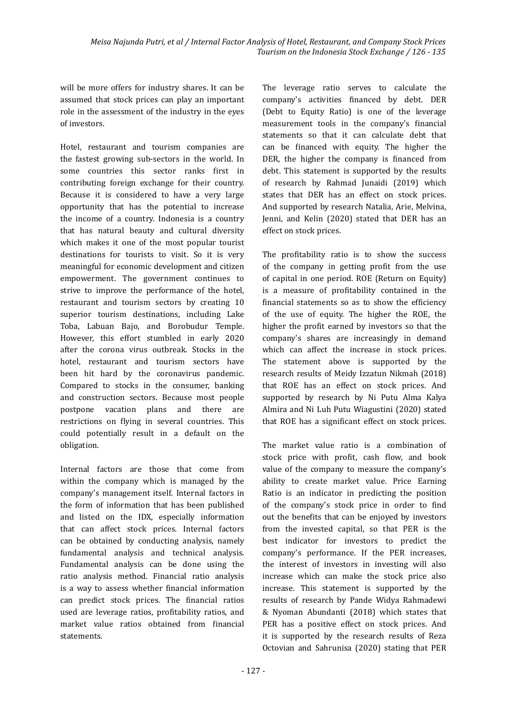will be more offers for industry shares. It can be assumed that stock prices can play an important role in the assessment of the industry in the eyes of investors.

Hotel, restaurant and tourism companies are the fastest growing sub-sectors in the world. In some countries this sector ranks first in contributing foreign exchange for their country. Because it is considered to have a very large opportunity that has the potential to increase the income of a country. Indonesia is a country that has natural beauty and cultural diversity which makes it one of the most popular tourist destinations for tourists to visit. So it is very meaningful for economic development and citizen empowerment. The government continues to strive to improve the performance of the hotel, restaurant and tourism sectors by creating 10 superior tourism destinations, including Lake Toba, Labuan Bajo, and Borobudur Temple. However, this effort stumbled in early 2020 after the corona virus outbreak. Stocks in the hotel, restaurant and tourism sectors have been hit hard by the coronavirus pandemic. Compared to stocks in the consumer, banking and construction sectors. Because most people postpone vacation plans and there are restrictions on flying in several countries. This could potentially result in a default on the obligation.

Internal factors are those that come from within the company which is managed by the company's management itself. Internal factors in the form of information that has been published and listed on the IDX, especially information that can affect stock prices. Internal factors can be obtained by conducting analysis, namely fundamental analysis and technical analysis. Fundamental analysis can be done using the ratio analysis method. Financial ratio analysis is a way to assess whether �inancial information can predict stock prices. The financial ratios used are leverage ratios, pro�itability ratios, and market value ratios obtained from financial statements.

The leverage ratio serves to calculate the company's activities �inanced by debt. DER (Debt to Equity Ratio) is one of the leverage measurement tools in the company's financial statements so that it can calculate debt that can be financed with equity. The higher the DER, the higher the company is financed from debt. This statement is supported by the results of research by Rahmad Junaidi (2019) which states that DER has an effect on stock prices. And supported by research Natalia, Arie, Melvina, Jenni, and Kelin (2020) stated that DER has an effect on stock prices.

The profitability ratio is to show the success of the company in getting pro�it from the use of capital in one period. ROE (Return on Equity) is a measure of profitability contained in the financial statements so as to show the efficiency of the use of equity. The higher the ROE, the higher the profit earned by investors so that the company's shares are increasingly in demand which can affect the increase in stock prices. The statement above is supported by the research results of Meidy Izzatun Nikmah (2018) that ROE has an effect on stock prices. And supported by research by Ni Putu Alma Kalya Almira and Ni Luh Putu Wiagustini (2020) stated that ROE has a significant effect on stock prices.

The market value ratio is a combination of stock price with profit, cash flow, and book value of the company to measure the company's ability to create market value. Price Earning Ratio is an indicator in predicting the position of the company's stock price in order to find out the benefits that can be enjoyed by investors from the invested capital, so that PER is the best indicator for investors to predict the company's performance. If the PER increases, the interest of investors in investing will also increase which can make the stock price also increase. This statement is supported by the results of research by Pande Widya Rahmadewi & Nyoman Abundanti (2018) which states that PER has a positive effect on stock prices. And it is supported by the research results of Reza Octovian and Sahrunisa (2020) stating that PER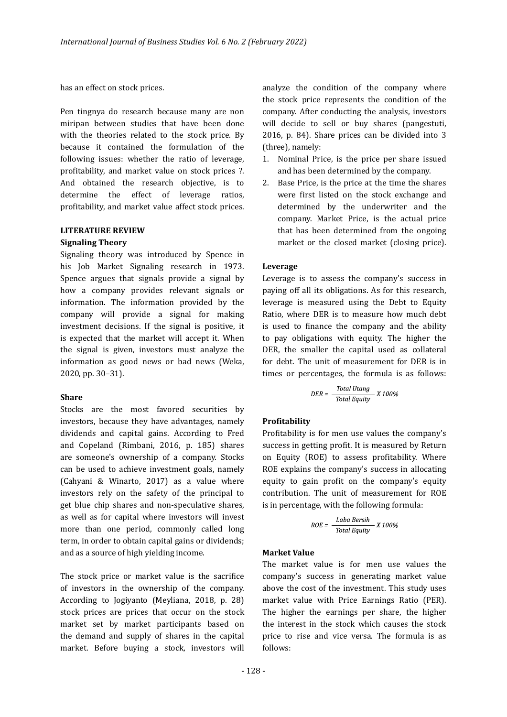has an effect on stock prices.

Pen tingnya do research because many are non miripan between studies that have been done with the theories related to the stock price. By because it contained the formulation of the following issues: whether the ratio of leverage, profitability, and market value on stock prices ?. And obtained the research objective, is to determine the effect of leverage ratios, profitability, and market value affect stock prices.

#### **LITERATURE REVIEW Signaling Theory**

Signaling theory was introduced by Spence in his Job Market Signaling research in 1973. Spence argues that signals provide a signal by how a company provides relevant signals or information. The information provided by the company will provide a signal for making investment decisions. If the signal is positive, it is expected that the market will accept it. When the signal is given, investors must analyze the information as good news or bad news (Weka, 2020, pp. 30–31).

#### **Share**

Stocks are the most favored securities by investors, because they have advantages, namely dividends and capital gains. According to Fred and Copeland (Rimbani, 2016, p. 185) shares are someone's ownership of a company. Stocks can be used to achieve investment goals, namely (Cahyani & Winarto, 2017) as a value where investors rely on the safety of the principal to get blue chip shares and non-speculative shares, as well as for capital where investors will invest more than one period, commonly called long term, in order to obtain capital gains or dividends; and as a source of high yielding income.

The stock price or market value is the sacrifice of investors in the ownership of the company. According to Jogiyanto (Meyliana, 2018, p. 28) stock prices are prices that occur on the stock market set by market participants based on the demand and supply of shares in the capital market. Before buying a stock, investors will analyze the condition of the company where the stock price represents the condition of the company. After conducting the analysis, investors will decide to sell or buy shares (pangestuti, 2016, p. 84). Share prices can be divided into 3 (three), namely:

- 1. Nominal Price, is the price per share issued and has been determined by the company.
- 2. Base Price, is the price at the time the shares were first listed on the stock exchange and determined by the underwriter and the company. Market Price, is the actual price that has been determined from the ongoing market or the closed market (closing price).

#### **Leverage**

Leverage is to assess the company's success in paying off all its obligations. As for this research, leverage is measured using the Debt to Equity Ratio, where DER is to measure how much debt is used to finance the company and the ability to pay obligations with equity. The higher the DER, the smaller the capital used as collateral for debt. The unit of measurement for DER is in times or percentages, the formula is as follows:

$$
DER = \frac{Total Utang}{Total Equity} \times 100\%
$$

#### **Pro�itability**

Profitability is for men use values the company's success in getting profit. It is measured by Return on Equity (ROE) to assess profitability. Where ROE explains the company's success in allocating equity to gain pro�it on the company's equity contribution. The unit of measurement for ROE is in percentage, with the following formula:

$$
ROE = \frac{Laba Bersih}{Total Equity} \times 100\%
$$

#### **Market Value**

The market value is for men use values the company's success in generating market value above the cost of the investment. This study uses market value with Price Earnings Ratio (PER). The higher the earnings per share, the higher the interest in the stock which causes the stock price to rise and vice versa. The formula is as follows: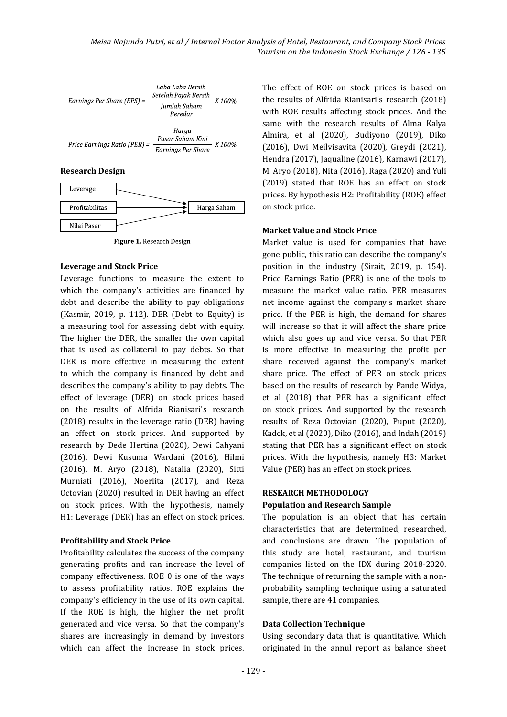

Figure 1. Research Design

#### **Leverage and Stock Price**

Leverage functions to measure the extent to which the company's activities are financed by debt and describe the ability to pay obligations (Kasmir, 2019, p. 112). DER (Debt to Equity) is a measuring tool for assessing debt with equity. The higher the DER, the smaller the own capital that is used as collateral to pay debts. So that DER is more effective in measuring the extent to which the company is �inanced by debt and describes the company's ability to pay debts. The effect of leverage (DER) on stock prices based on the results of Alfrida Rianisari's research (2018) results in the leverage ratio (DER) having an effect on stock prices. And supported by research by Dede Hertina (2020), Dewi Cahyani (2016), Dewi Kusuma Wardani (2016), Hilmi (2016), M. Aryo (2018), Natalia (2020), Sitti Murniati (2016), Noerlita (2017), and Reza Octovian (2020) resulted in DER having an effect on stock prices. With the hypothesis, namely H1: Leverage (DER) has an effect on stock prices.

#### **Pro�itability and Stock Price**

Profitability calculates the success of the company generating pro�its and can increase the level of company effectiveness. ROE 0 is one of the ways to assess pro�itability ratios. ROE explains the company's efficiency in the use of its own capital. If the ROE is high, the higher the net pro�it generated and vice versa. So that the company's shares are increasingly in demand by investors which can affect the increase in stock prices.

The effect of ROE on stock prices is based on the results of Alfrida Rianisari's research (2018) with ROE results affecting stock prices. And the same with the research results of Alma Kalya Almira, et al (2020), Budiyono (2019), Diko (2016), Dwi Meilvisavita (2020), Greydi (2021), Hendra (2017), Jaqualine (2016), Karnawi (2017), M. Aryo (2018), Nita (2016), Raga (2020) and Yuli (2019) stated that ROE has an effect on stock prices. By hypothesis H2: Profitability (ROE) effect on stock price.

#### **Market Value and Stock Price**

Market value is used for companies that have gone public, this ratio can describe the company's position in the industry (Sirait, 2019, p. 154). Price Earnings Ratio (PER) is one of the tools to measure the market value ratio. PER measures net income against the company's market share price. If the PER is high, the demand for shares will increase so that it will affect the share price which also goes up and vice versa. So that PER is more effective in measuring the pro�it per share received against the company's market share price. The effect of PER on stock prices based on the results of research by Pande Widya, et al (2018) that PER has a significant effect on stock prices. And supported by the research results of Reza Octovian (2020), Puput (2020), Kadek, et al (2020), Diko (2016), and Indah (2019) stating that PER has a significant effect on stock prices. With the hypothesis, namely H3: Market Value (PER) has an effect on stock prices.

#### **RESEARCH METHODOLOGY**

#### **Population and Research Sample**

The population is an object that has certain characteristics that are determined, researched, and conclusions are drawn. The population of this study are hotel, restaurant, and tourism companies listed on the IDX during 2018-2020. The technique of returning the sample with a nonprobability sampling technique using a saturated sample, there are 41 companies.

#### **Data Collection Technique**

Using secondary data that is quantitative. Which originated in the annul report as balance sheet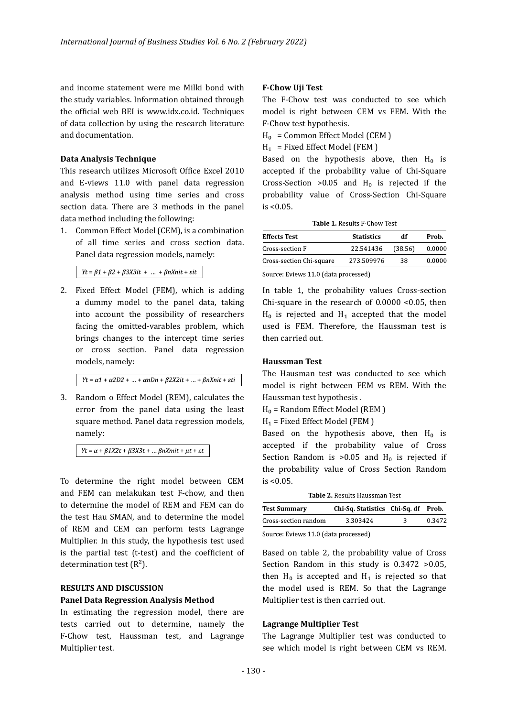and income statement were me Milki bond with the study variables. Information obtained through the official web BEI is www.idx.co.id. Techniques of data collection by using the research literature and documentation.

#### **Data Analysis Technique**

This research utilizes Microsoft Office Excel 2010 and E-views 11.0 with panel data regression analysis method using time series and cross section data. There are 3 methods in the panel data method including the following:

1. Common Effect Model (CEM), is a combination of all time series and cross section data. Panel data regression models, namely:

 $Yt = \beta 1 + \beta 2 + \beta 3X3it + ... + \beta nXnit + \varepsilon it$ 

2. Fixed Effect Model (FEM), which is adding a dummy model to the panel data, taking into account the possibility of researchers facing the omitted-varables problem, which brings changes to the intercept time series or cross section. Panel data regression models, namely:

 $Yt = \alpha 1 + \alpha 2D2 + ... + \alpha nDn + \beta 2X2it + ... + \beta nXnit + \epsilon ti$ 

3. Random o Effect Model (REM), calculates the error from the panel data using the least square method. Panel data regression models, namely:

 $Yt = \alpha + \beta 1X2t + \beta 3X3t + ... \beta nXmit + \mu t + \varepsilon t$ 

To determine the right model between CEM and FEM can melakukan test F-chow, and then to determine the model of REM and FEM can do the test Hau SMAN, and to determine the model of REM and CEM can perform tests Lagrange Multiplier. In this study, the hypothesis test used is the partial test (t-test) and the coefficient of determination test  $(R<sup>2</sup>)$ .

#### **RESULTS AND DISCUSSION**

#### **Panel Data Regression Analysis Method**

In estimating the regression model, there are tests carried out to determine, namely the F-Chow test, Haussman test, and Lagrange Multiplier test.

#### **F-Chow Uji Test**

The F-Chow test was conducted to see which model is right between CEM vs FEM. With the F-Chow test hypothesis.

 $H_0 =$  Common Effect Model (CEM)

 $H_1$  = Fixed Effect Model (FEM)

Based on the hypothesis above, then  $H_0$  is accepted if the probability value of Chi-Square Cross-Section >0.05 and  $H_0$  is rejected if the probability value of Cross-Section Chi-Square  $is < 0.05$ .

Table 1 Results E-Chow Test

| <b>Effects Test</b>      | <b>Statistics</b> | df      | Prob.  |
|--------------------------|-------------------|---------|--------|
| Cross-section F          | 22.541436         | (38.56) | 0.0000 |
| Cross-section Chi-square | 273.509976        | 38      | 0.0000 |

Source: Eviews 11.0 (data processed)

In table 1, the probability values Cross-section Chi-square in the research of 0.0000 <0.05, then  $H_0$  is rejected and  $H_1$  accepted that the model used is FEM. Therefore, the Haussman test is then carried out.

#### **Haussman Test**

The Hausman test was conducted to see which model is right between FEM vs REM. With the Haussman test hypothesis .

 $H<sub>0</sub>$  = Random Effect Model (REM )

 $H_1$  = Fixed Effect Model (FEM)

Based on the hypothesis above, then  $H_0$  is accepted if the probability value of Cross Section Random is  $>0.05$  and  $H_0$  is rejected if the probability value of Cross Section Random  $is < 0.05$ .

Table 2. Results Haussman Test

| <b>Test Summary</b>                  | Chi-Sq. Statistics Chi-Sq. df Prob. |   |        |
|--------------------------------------|-------------------------------------|---|--------|
| Cross-section random                 | 3.303424                            | 2 | 0.3472 |
| Source: Eviews 11.0 (data processed) |                                     |   |        |

Based on table 2, the probability value of Cross Section Random in this study is 0.3472 >0.05, then  $H_0$  is accepted and  $H_1$  is rejected so that the model used is REM. So that the Lagrange Multiplier test is then carried out.

#### **Lagrange Multiplier Test**

The Lagrange Multiplier test was conducted to see which model is right between CEM vs REM.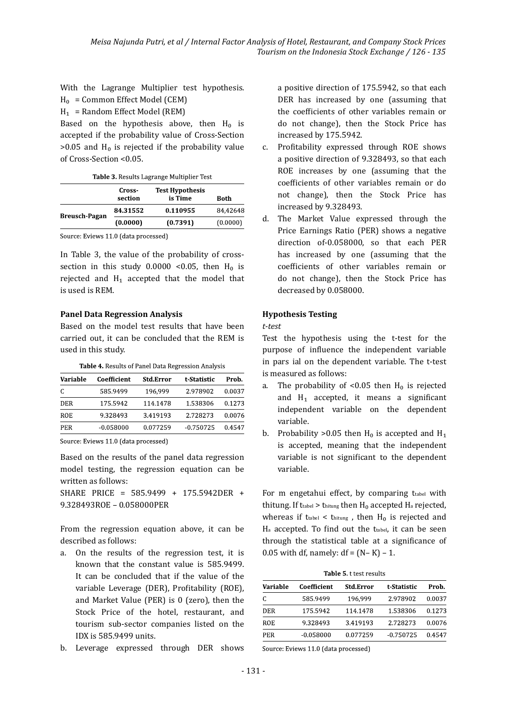With the Lagrange Multiplier test hypothesis.  $H_0 =$  Common Effect Model (CEM)

 $H_1$  = Random Effect Model (REM)

Based on the hypothesis above, then  $H_0$  is accepted if the probability value of Cross-Section  $>0.05$  and H<sub>0</sub> is rejected if the probability value of Cross-Section <0.05.

Table 3. Results Lagrange Multiplier Test

|                      | Cross-<br>section | <b>Test Hypothesis</b><br>is Time | Both     |
|----------------------|-------------------|-----------------------------------|----------|
| <b>Breusch-Pagan</b> | 84.31552          | 0.110955                          | 84.42648 |
|                      | (0.0000)          | (0.7391)                          | (0.0000) |

Source: Eviews 11.0 (data processed)

In Table 3, the value of the probability of crosssection in this study  $0.0000 < 0.05$ , then  $H_0$  is rejected and  $H_1$  accepted that the model that is used is REM.

#### **Panel Data Regression Analysis**

Based on the model test results that have been carried out, it can be concluded that the REM is used in this study.

| Variable   | Coefficient | <b>Std.Error</b> | t-Statistic | Prob.  |
|------------|-------------|------------------|-------------|--------|
| C          | 585.9499    | 196.999          | 2.978902    | 0.0037 |
| <b>DER</b> | 175.5942    | 114.1478         | 1.538306    | 0.1273 |
| ROE        | 9.328493    | 3.419193         | 2.728273    | 0.0076 |
| <b>PER</b> | $-0.058000$ | 0.077259         | $-0.750725$ | 0.4547 |

Table 4. Results of Panel Data Regression Analysis

Source: Eviews 11.0 (data processed)

Based on the results of the panel data regression model testing, the regression equation can be written as follows:

SHARE PRICE = 585.9499 + 175.5942DER + 9.328493ROE – 0.058000PER

From the regression equation above, it can be described as follows:

- a. On the results of the regression test, it is known that the constant value is 585.9499. It can be concluded that if the value of the variable Leverage (DER), Profitability (ROE), and Market Value (PER) is 0 (zero), then the Stock Price of the hotel, restaurant, and tourism sub-sector companies listed on the IDX is 585.9499 units.
- b. Leverage expressed through DER shows

a positive direction of 175.5942, so that each DER has increased by one (assuming that the coefficients of other variables remain or do not change), then the Stock Price has increased by 175.5942.

- c. Pro�itability expressed through ROE shows a positive direction of 9.328493, so that each ROE increases by one (assuming that the coefficients of other variables remain or do not change), then the Stock Price has increased by 9.328493.
- d. The Market Value expressed through the Price Earnings Ratio (PER) shows a negative direction of-0.058000, so that each PER has increased by one (assuming that the coefficients of other variables remain or do not change), then the Stock Price has decreased by 0.058000.

#### **Hypothesis Testing**

*t-test*

Test the hypothesis using the t-test for the purpose of influence the independent variable in pars ial on the dependent variable. The t-test is measured as follows:

- a. The probability of <0.05 then  $H_0$  is rejected and  $H_1$  accepted, it means a significant independent variable on the dependent variable.
- b. Probability > 0.05 then  $H_0$  is accepted and  $H_1$ is accepted, meaning that the independent variable is not significant to the dependent variable.

For m engetahui effect, by comparing trabel with thitung. If ttabel > thitung then  $H_0$  accepted  $H_a$  rejected, whereas if ttabel  $\lt$  thitung, then H<sub>0</sub> is rejected and Ha accepted. To find out the ttabel, it can be seen through the statistical table at a significance of 0.05 with df, namely:  $df = (N - K) - 1$ .

Table 5. t test results

| Variable | Coefficient | <b>Std.Error</b> | t-Statistic | Prob.  |
|----------|-------------|------------------|-------------|--------|
| C        | 585.9499    | 196.999          | 2.978902    | 0.0037 |
| DER      | 175.5942    | 114.1478         | 1.538306    | 0.1273 |
| ROE      | 9.328493    | 3.419193         | 2.728273    | 0.0076 |
| PER      | $-0.058000$ | 0.077259         | $-0.750725$ | 0.4547 |
|          |             |                  |             |        |

Source: Eviews 11.0 (data processed)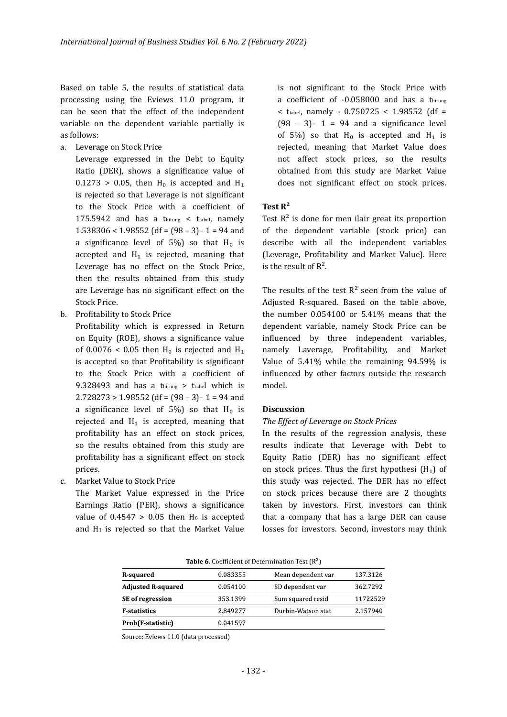Based on table 5, the results of statistical data processing using the Eviews 11.0 program, it can be seen that the effect of the independent variable on the dependent variable partially is as follows:

a. Leverage on Stock Price

Leverage expressed in the Debt to Equity Ratio (DER), shows a significance value of  $0.1273 > 0.05$ , then H<sub>0</sub> is accepted and H<sub>1</sub> is rejected so that Leverage is not significant to the Stock Price with a coefficient of 175.5942 and has a thitung < ttabel, namely 1.538306 < 1.98552 (df =  $(98 - 3) - 1 = 94$  and a significance level of 5%) so that  $H_0$  is accepted and  $H_1$  is rejected, meaning that Leverage has no effect on the Stock Price, then the results obtained from this study are Leverage has no significant effect on the Stock Price.

b. Profitability to Stock Price

Profitability which is expressed in Return on Equity (ROE), shows a significance value of 0.0076 < 0.05 then  $H_0$  is rejected and  $H_1$ is accepted so that Profitability is significant to the Stock Price with a coefficient of 9.328493 and has a thitung > ttabel which is  $2.728273 > 1.98552$  (df =  $(98 - 3) - 1 = 94$  and a significance level of 5%) so that  $H_0$  is rejected and  $H_1$  is accepted, meaning that pro�itability has an effect on stock prices, so the results obtained from this study are profitability has a significant effect on stock prices.

c. Market Value to Stock Price

The Market Value expressed in the Price Earnings Ratio (PER), shows a significance value of  $0.4547 > 0.05$  then H<sub>0</sub> is accepted and H<sub>1</sub> is rejected so that the Market Value is not significant to the Stock Price with a coefficient of  $-0.058000$  and has a thitung  $<$  ttabel, namely - 0.750725  $<$  1.98552 (df =  $(98 - 3) - 1 = 94$  and a significance level of 5%) so that  $H_0$  is accepted and  $H_1$  is rejected, meaning that Market Value does not affect stock prices, so the results obtained from this study are Market Value does not significant effect on stock prices.

#### **Test R²**

Test  $R^2$  is done for men ilair great its proportion of the dependent variable (stock price) can describe with all the independent variables (Leverage, Pro�itability and Market Value). Here is the result of  $R^2$ .

The results of the test  $R^2$  seen from the value of Adjusted R-squared. Based on the table above, the number 0.054100 or 5.41% means that the dependent variable, namely Stock Price can be influenced by three independent variables, namely Laverage, Pro�itability, and Market Value of 5.41% while the remaining 94.59% is influenced by other factors outside the research model.

#### **Discussion**

#### *The Effect of Leverage on Stock Prices*

In the results of the regression analysis, these results indicate that Leverage with Debt to Equity Ratio (DER) has no significant effect on stock prices. Thus the first hypothesi  $(H_1)$  of this study was rejected. The DER has no effect on stock prices because there are 2 thoughts taken by investors. First, investors can think that a company that has a large DER can cause losses for investors. Second, investors may think

Table 6. Coefficient of Determination Test  $(R^2)$ 

| R-squared                 | 0.083355 | Mean dependent var | 137.3126 |
|---------------------------|----------|--------------------|----------|
| <b>Adjusted R-squared</b> | 0.054100 | SD dependent var   | 362.7292 |
| <b>SE</b> of regression   | 353.1399 | Sum squared resid  | 11722529 |
| <b>F-statistics</b>       | 2.849277 | Durbin-Watson stat | 2.157940 |
| Prob(F-statistic)         | 0.041597 |                    |          |

Source: Eviews 11.0 (data processed)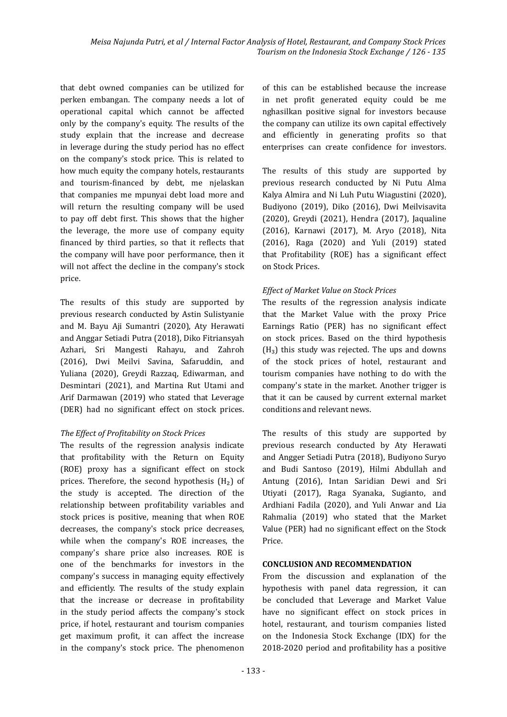that debt owned companies can be utilized for perken embangan. The company needs a lot of operational capital which cannot be affected only by the company's equity. The results of the study explain that the increase and decrease in leverage during the study period has no effect on the company's stock price. This is related to how much equity the company hotels, restaurants and tourism-�inanced by debt, me njelaskan that companies me mpunyai debt load more and will return the resulting company will be used to pay off debt �irst. This shows that the higher the leverage, the more use of company equity financed by third parties, so that it reflects that the company will have poor performance, then it will not affect the decline in the company's stock price.

The results of this study are supported by previous research conducted by Astin Sulistyanie and M. Bayu Aji Sumantri (2020), Aty Herawati and Anggar Setiadi Putra (2018), Diko Fitriansyah Azhari, Sri Mangesti Rahayu, and Zahroh (2016), Dwi Meilvi Savina, Safaruddin, and Yuliana (2020), Greydi Razzaq, Ediwarman, and Desmintari (2021), and Martina Rut Utami and Arif Darmawan (2019) who stated that Leverage (DER) had no significant effect on stock prices.

#### *The Effect of Pro�itability on Stock Prices*

The results of the regression analysis indicate that profitability with the Return on Equity (ROE) proxy has a signi�icant effect on stock prices. Therefore, the second hypothesis  $(H<sub>2</sub>)$  of the study is accepted. The direction of the relationship between profitability variables and stock prices is positive, meaning that when ROE decreases, the company's stock price decreases, while when the company's ROE increases, the company's share price also increases. ROE is one of the benchmarks for investors in the company's success in managing equity effectively and efficiently. The results of the study explain that the increase or decrease in profitability in the study period affects the company's stock price, if hotel, restaurant and tourism companies get maximum pro�it, it can affect the increase in the company's stock price. The phenomenon of this can be established because the increase in net pro�it generated equity could be me nghasilkan positive signal for investors because the company can utilize its own capital effectively and efficiently in generating profits so that enterprises can create con�idence for investors.

The results of this study are supported by previous research conducted by Ni Putu Alma Kalya Almira and Ni Luh Putu Wiagustini (2020), Budiyono (2019), Diko (2016), Dwi Meilvisavita (2020), Greydi (2021), Hendra (2017), Jaqualine (2016), Karnawi (2017), M. Aryo (2018), Nita (2016), Raga (2020) and Yuli (2019) stated that Profitability (ROE) has a significant effect on Stock Prices.

#### *Effect of Market Value on Stock Prices*

The results of the regression analysis indicate that the Market Value with the proxy Price Earnings Ratio (PER) has no significant effect on stock prices. Based on the third hypothesis  $(H_3)$  this study was rejected. The ups and downs of the stock prices of hotel, restaurant and tourism companies have nothing to do with the company's state in the market. Another trigger is that it can be caused by current external market conditions and relevant news.

The results of this study are supported by previous research conducted by Aty Herawati and Angger Setiadi Putra (2018), Budiyono Suryo and Budi Santoso (2019), Hilmi Abdullah and Antung (2016), Intan Saridian Dewi and Sri Utiyati (2017), Raga Syanaka, Sugianto, and Ardhiani Fadila (2020), and Yuli Anwar and Lia Rahmalia (2019) who stated that the Market Value (PER) had no significant effect on the Stock Price.

### **CONCLUSION AND RECOMMENDATION**

From the discussion and explanation of the hypothesis with panel data regression, it can be concluded that Leverage and Market Value have no significant effect on stock prices in hotel, restaurant, and tourism companies listed on the Indonesia Stock Exchange (IDX) for the 2018-2020 period and pro�itability has a positive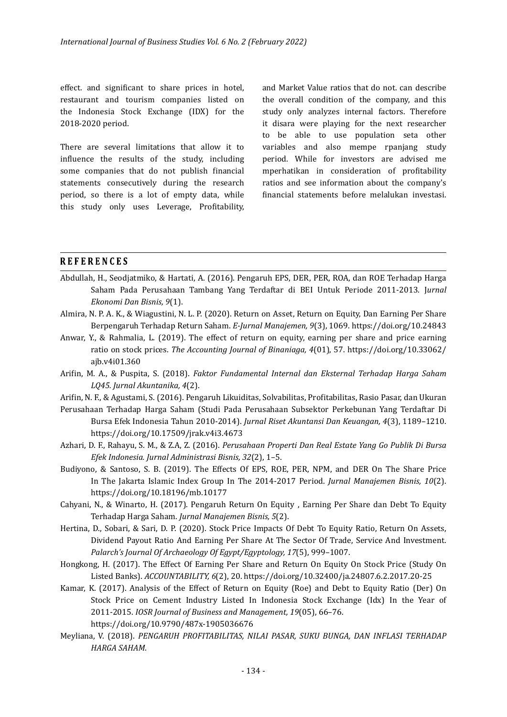effect. and significant to share prices in hotel, restaurant and tourism companies listed on the Indonesia Stock Exchange (IDX) for the 2018-2020 period.

There are several limitations that allow it to influence the results of the study, including some companies that do not publish financial statements consecutively during the research period, so there is a lot of empty data, while this study only uses Leverage, Profitability,

and Market Value ratios that do not. can describe the overall condition of the company, and this study only analyzes internal factors. Therefore it disara were playing for the next researcher to be able to use population seta other variables and also mempe rpanjang study period. While for investors are advised me mperhatikan in consideration of profitability ratios and see information about the company's �inancial statements before melalukan investasi.

#### **REFERENCES**

- Abdullah, H., Seodjatmiko, & Hartati, A. (2016). Pengaruh EPS, DER, PER, ROA, dan ROE Terhadap Harga Saham Pada Perusahaan Tambang Yang Terdaftar di BEI Untuk Periode 2011-2013. J*urnal Ekonomi Dan Bisnis, 9*(1).
- Almira, N. P. A. K., & Wiagustini, N. L. P. (2020). Return on Asset, Return on Equity, Dan Earning Per Share Berpengaruh Terhadap Return Saham. *E-Jurnal Manajemen, 9*(3), 1069. https://doi.org/10.24843
- Anwar, Y., & Rahmalia, L. (2019). The effect of return on equity, earning per share and price earning ratio on stock prices. *The Accounting Journal of Binaniaga, 4*(01), 57. https://doi.org/10.33062/ ajb.v4i01.360
- Ari�in, M. A., & Puspita, S. (2018). *Faktor Fundamental Internal dan Eksternal Terhadap Harga Saham LQ45. Jurnal Akuntanika, 4*(2).
- Ari�in, N. F., & Agustami, S. (2016). Pengaruh Likuiditas, Solvabilitas, Pro�itabilitas, Rasio Pasar, dan Ukuran
- Perusahaan Terhadap Harga Saham (Studi Pada Perusahaan Subsektor Perkebunan Yang Terdaftar Di Bursa Efek Indonesia Tahun 2010-2014). *Jurnal Riset Akuntansi Dan Keuangan, 4*(3), 1189–1210. https://doi.org/10.17509/jrak.v4i3.4673
- Azhari, D. F., Rahayu, S. M., & Z.A, Z. (2016). *Perusahaan Properti Dan Real Estate Yang Go Publik Di Bursa Efek Indonesia. Jurnal Administrasi Bisnis, 32*(2), 1–5.
- Budiyono, & Santoso, S. B. (2019). The Effects Of EPS, ROE, PER, NPM, and DER On The Share Price In The Jakarta Islamic Index Group In The 2014-2017 Period. *Jurnal Manajemen Bisnis, 10*(2). https://doi.org/10.18196/mb.10177
- Cahyani, N., & Winarto, H. (2017). Pengaruh Return On Equity , Earning Per Share dan Debt To Equity Terhadap Harga Saham. *Jurnal Manajemen Bisnis, 5*(2).
- Hertina, D., Sobari, & Sari, D. P. (2020). Stock Price Impacts Of Debt To Equity Ratio, Return On Assets, Dividend Payout Ratio And Earning Per Share At The Sector Of Trade, Service And Investment. *Palarch's Journal Of Archaeology Of Egypt/Egyptology, 17*(5), 999–1007.
- Hongkong, H. (2017). The Effect Of Earning Per Share and Return On Equity On Stock Price (Study On Listed Banks). *ACCOUNTABILITY, 6*(2), 20. https://doi.org/10.32400/ja.24807.6.2.2017.20-25
- Kamar, K. (2017). Analysis of the Effect of Return on Equity (Roe) and Debt to Equity Ratio (Der) On Stock Price on Cement Industry Listed In Indonesia Stock Exchange (Idx) In the Year of 2011-2015. *IOSR Journal of Business and Management, 19*(05), 66–76. https://doi.org/10.9790/487x-1905036676
- Meyliana, V. (2018). *PENGARUH PROFITABILITAS, NILAI PASAR, SUKU BUNGA, DAN INFLASI TERHADAP HARGA SAHAM*.